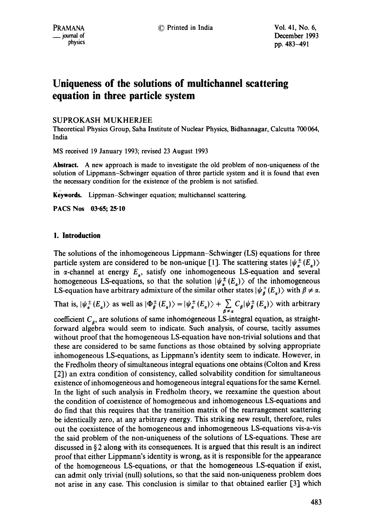# **Uniqueness of the solutions of multichannel scattering equation in three particle system**

SUPROKASH MUKHERJEE

Theoretical Physics Group, Saha Institute of Nuclear Physics, Bidhannagar, Calcutta 700 064, India

MS received 19 January 1993; revised 23 August 1993

**Abstract.** A new approach is made to investigate the old problem of non-uniqueness of the solution of Lippmann-Schwinger equation of three particle system and it is found that even the necessary condition for the existence of the problem is not satisfied.

**Keywords.** Lippman-Schwinger equation; multichannel scattering.

**PACS Nos 03"65; 25"10** 

## **1. Introduction**

The solutions of the inhomogeneous Lippmann-Schwinger (LS) equations for three particle system are considered to be non-unique [1]. The scattering states  $|\psi^{\pm}_r(E)|$ in  $\alpha$ -channel at energy  $E_{\alpha}$ , satisfy one inhomogeneous LS-equation and several homogeneous LS-equations, so that the solution  $|\psi_{\alpha}^{\pm}(E_{\alpha})\rangle$  of the inhomogeneous LS-equation have arbitrary admixture of the similar other states  $|\psi_{\beta}^{+}(E_{\alpha})\rangle$  with  $\beta \neq \alpha$ .

That is,  $|\psi_{\alpha}^{\pm}(E_{\alpha})\rangle$  as well as  $|\Phi_{\beta}^{\pm}(E_{\alpha})\rangle = |\psi_{\alpha}^{\pm}(E_{\alpha})\rangle + \sum_{\beta \neq \alpha} C_{\beta} |\psi_{\beta}^{\pm}(E_{\alpha})\rangle$  with arbitrary

coefficient  $C_{\beta}$ , are solutions of same inhomogeneous LS-integral equation, as straightforward algebra would seem to indicate. Such analysis, of course, tacitly assumes without proof that the homogeneous LS-equation have non-trivial solutions and that these are considered to be same functions as those obtained by solving appropriate inhomogeneous LS-equations, as Lippmann's identity seem to indicate. However, in the Fredholm theory of simultaneous integral equations one obtains (Colton and Kress [2]) an extra condition of consistency, called solvability condition for simultaneous existence of inhomogeneous and homogeneous integral equations for the same Kernel. In the light of such analysis in Fredholm theory, we reexamine the question about the condition of coexistence of homogeneous and inhomogeneous LS-equations and do find that this requires that the transition matrix of the rearrangement scattering be identically zero, at any arbitrary energy. This striking new result, therefore, rules out the coexistence of the homogeneous and inhomogeneous LS-equations vis-a-vis the said problem of the non-uniqueness of the solutions of LS-equations. These are discussed in § 2 along with its consequences. It is argued that this result is an indirect proof that either Lippmann's identity is wrong, as it is responsible for the appearance of the homogeneous LS-equations, or that the homogeneous LS-equation if exist, can admit only trivial (null) solutions, so that the said non-uniqueness problem does not arise in any case. This conclusion is similar to that obtained earlier [3] which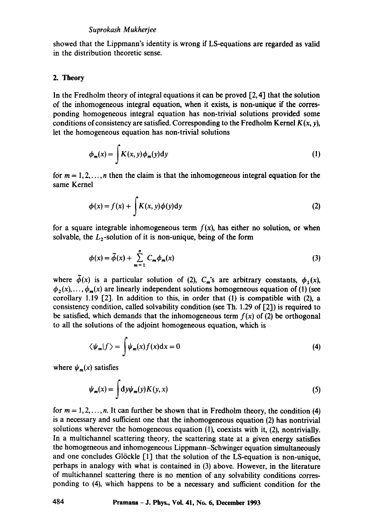### *Suprokash Mukherjee*

showed that the Lippmann's identity is wrong if LS-equations are regarded as valid in the distribution theoretic sense.

### 2. Theory

In the Fredholm theory of integral equations it can be proved  $[2, 4]$  that the solution of the inhomogeneous integral equation, when it exists, is non-unique if the corresponding homogeneous integral equation has non-trivial solutions provided some conditions of consistency are satisfied. Corresponding to the Fredholm Kernel  $K(x, y)$ , let the homogeneous equation has non-trivial solutions

$$
\phi_m(x) = \int K(x, y) \phi_m(y) dy \tag{1}
$$

for  $m = 1, 2, \ldots, n$  then the claim is that the inhomogeneous integral equation for the same Kernel

$$
\phi(x) = f(x) + \int K(x, y)\phi(y)dy
$$
 (2)

for a square integrable inhomogeneous term  $f(x)$ , has either no solution, or when solvable, the  $L_2$ -solution of it is non-unique, being of the form

$$
\phi(x) = \tilde{\phi}(x) + \sum_{m=1}^{n} C_m \phi_m(x) \tag{3}
$$

where  $\tilde{\phi}(x)$  is a particular solution of (2),  $C_m$ 's are arbitrary constants,  $\phi_1(x)$ ,  $\phi_2(x)$ ,...,  $\phi_m(x)$  are linearly independent solutions homogeneous equation of (1) (see corollary 1.19 [2]. In addition to this, in order that (1) is compatible with (2), a consistency condition, called solvability condition (see Th. 1.29 of [2]) is required to be satisfied, which demands that the inhomogeneous term  $f(x)$  of (2) be orthogonal to all the solutions of the adjoint homogeneous equation, which is

$$
\langle \psi_m | f \rangle = \int \psi_m(x) f(x) dx = 0 \tag{4}
$$

where  $\psi_m(x)$  satisfies

$$
\psi_m(x) = \int \mathrm{d}y \psi_m(y) K(y, x) \tag{5}
$$

for  $m = 1, 2, \ldots, n$ . It can further be shown that in Fredholm theory, the condition (4) is a necessary and sufficient one that the inhomogeneous equation (2) has nontrivial solutions wherever the homogeneous equation (1), coexists with it, (2), nontrivially. In a multichannel scattering theory, the scattering state at a given energy satisfies the homogeneous and inhomogeneous Lippmann-Schwinger equation simultaneously and one concludes Glöckle  $\lceil 1 \rceil$  that the solution of the LS-equation is non-unique, perhaps in analogy with what is contained in (3) above. However, in the literature of multichannel scattering there is no mention of any solvability conditions corresponding to (4), which happens to be a necessary and sufficient condition for the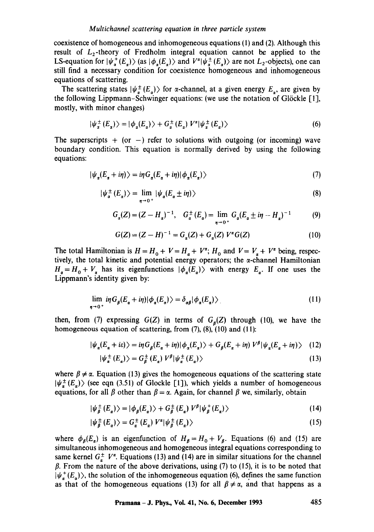coexistence of homogeneous and inhomogeneous equations (1) and (2). Although this result of  $L_2$ -theory of Fredholm integral equation cannot be applied to the LS-equation for  $|\psi_{\alpha}^{+}(E_{\alpha})\rangle$  (as  $|\phi_{\alpha}(E_{\alpha})\rangle$  and  $V^{\alpha}|\psi_{\alpha}^{+}(E_{\alpha})\rangle$  are not  $L_2$ -objects), one can still find a necessary condition for coexistence homogeneous and inhomogeneous equations of scattering.

The scattering states  $|\psi_{\alpha}^{\pm}(E_{\alpha})\rangle$  for  $\alpha$ -channel, at a given energy  $E_{\alpha}$ , are given by the following Lippmann-Schwinger equations: (we use the notation of G16ckle [1], mostly, with minor changes)

$$
|\psi_{\alpha}^{\pm}(E_{\alpha})\rangle = |\phi_{\alpha}(E_{\alpha})\rangle + G_{\alpha}^{\pm}(E_{\alpha}) V^{\alpha}|\psi_{\alpha}^{\pm}(E_{\alpha})\rangle
$$
 (6)

The superscripts  $+$  (or  $-$ ) refer to solutions with outgoing (or incoming) wave boundary condition. This equation is normally derived by using the following equations:

$$
|\psi_{\alpha}(E_{\alpha} + i\eta)\rangle = i\eta G_{\alpha}(E_{\alpha} + i\eta)|\phi_{\alpha}(E_{\alpha})\rangle
$$
\n(7)

$$
|\psi_{\alpha}^{\pm}(E_{\alpha})\rangle = \lim_{\eta \to 0^{+}} |\psi_{\alpha}(E_{\alpha} \pm i\eta)\rangle
$$
\n(8)

$$
G_{\alpha}(Z) = (Z - H_{\alpha})^{-1}, \quad G_{\alpha}^{\pm}(E_{\alpha}) = \lim_{\eta \to 0^{+}} G_{\alpha}(E_{\alpha} \pm i\eta - H_{\alpha})^{-1}
$$
(9)

$$
G(Z) = (Z - H)^{-1} = G_{\alpha}(Z) + G_{\alpha}(Z) V^{\alpha} G(Z)
$$
 (10)

The total Hamiltonian is  $H = H_0 + V = H_a + V^a$ ;  $H_0$  and  $V = V_a + V^a$  being, respectively, the total kinetic and potential energy operators; the  $\alpha$ -channel Hamiltonian  $H_a=H_0+V_a$  has its eigenfunctions  $|\phi_a(E_a)\rangle$  with energy  $E_a$ . If one uses the Lippmann's identity given by:

$$
\lim_{\eta \to 0^+} i\eta G_\beta(E_\alpha + i\eta) |\phi_\alpha(E_\alpha)\rangle = \delta_{\alpha\beta} |\phi_\alpha(E_\alpha)\rangle
$$
\n(11)

then, from (7) expressing  $G(Z)$  in terms of  $G<sub>g</sub>(Z)$  through (10), we have the homogeneous equation of scattering, from  $(7)$ ,  $(8)$ ,  $(10)$  and  $(11)$ :

$$
|\psi_{\alpha}(E_{\alpha}+i\epsilon)\rangle = i\eta G_{\beta}(E_{\alpha}+i\eta)|\phi_{\alpha}(E_{\alpha})\rangle + G_{\beta}(E_{\alpha}+i\eta) V^{\beta}|\psi_{\alpha}(E_{\alpha}+i\eta)\rangle \quad (12)
$$

$$
|\psi_{\alpha}^{\pm}(E_{\alpha})\rangle = G_{\beta}^{\pm}(E_{\alpha}) V^{\beta}|\psi_{\alpha}^{\pm}(E_{\alpha})\rangle
$$
\n(13)

where  $\beta \neq \alpha$ . Equation (13) gives the homogeneous equations of the scattering state  $|\psi_{\alpha}^{\pm}(E_{\alpha})\rangle$  (see eqn (3.51) of Glockle [1]), which yields a number of homogeneous equations, for all  $\beta$  other than  $\beta = \alpha$ . Again, for channel  $\beta$  we, similarly, obtain

$$
|\psi_{\beta}^{\pm}(E_{\alpha})\rangle = |\phi_{\beta}(E_{\alpha})\rangle + G_{\beta}^{\pm}(E_{\alpha}) V^{\beta} |\psi_{\beta}^{+}(E_{\alpha})\rangle
$$
 (14)

$$
|\psi_{\vec{B}}^{\pm}(E_{\alpha})\rangle = G_{\alpha}^{\pm}(E_{\alpha}) V^{\alpha}|\psi_{\beta}^{\pm}(E_{\alpha})\rangle
$$
 (15)

where  $\phi_{\beta}(E_{\alpha})$  is an eigenfunction of  $H_{\beta} = H_0 + V_{\beta}$ . Equations (6) and (15) are simultaneous inhomogeneous and homogeneous integral equations corresponding to same kernel  $G_{\alpha}^{\pm}$   $V^{\alpha}$ . Equations (13) and (14) are in similar situations for the channel  $\beta$ . From the nature of the above derivations, using (7) to (15), it is to be noted that  $\ket{\psi_{\pi}^+(E_{\pi})}$ , the solution of the inhomogeneous equation (6), defines the same function as that of the homogeneous equations (13) for all  $\beta \neq \alpha$ , and that happens as a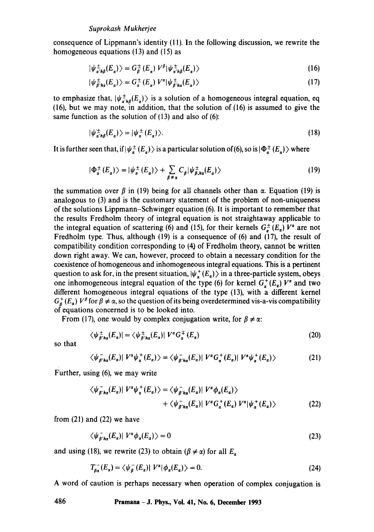consequence of Lippmann's identity (11). In the following discussion, we rewrite the homogeneous equations  $(13)$  and  $(15)$  as

$$
|\psi_{\alpha' h\beta}^{\pm}(E_{\alpha})\rangle = G_{\beta}^{\pm}(E_{\alpha}) V^{\beta} |\psi_{\alpha' h\beta}^{\pm}(E_{\alpha})\rangle
$$
 (16)

$$
|\psi_{\delta' h a}^{\pm}(E_a)\rangle = G_a^{\pm}(E_a) V^{\alpha} |\psi_{\delta' h a}^{\pm}(E_a)\rangle
$$
 (17)

to emphasize that,  $|\psi_{\alpha h\beta}^{\pm}(E_{\alpha})\rangle$  is a solution of a homogeneous integral equation, eq (16), but we may note, in addition, that the solution of (16) is assumed to give the same function as the solution of  $(13)$  and also of  $(6)$ :

$$
|\psi_{\alpha' h\beta}^{\pm}(E_{\alpha})\rangle = |\psi_{\alpha}^{\pm}(E_{\alpha})\rangle. \tag{18}
$$

It is further seen that, if  $|\psi_{\alpha}^{\pm}(E_{\alpha})\rangle$  is a particular solution of (6), so is  $|\Phi_{\alpha}^{\pm}(E_{\alpha})\rangle$  where

$$
|\Phi_{\alpha}^{\pm}(E_{\alpha})\rangle = |\psi_{\alpha}^{\pm}(E_{\alpha})\rangle + \sum_{\beta \neq \alpha} C_{\beta} |\psi_{\beta,h\alpha}^{\pm}(E_{\alpha})\rangle
$$
 (19)

the summation over  $\beta$  in (19) being for all channels other than  $\alpha$ . Equation (19) is analogous to (3) and is the customary statement of the problem of non-uniqueness of the solutions Lippmann-Schwinger equation (6). It is important to remember that the results Fredholm theory of integral equation is not straightaway applicable to the integral equation of scattering (6) and (15), for their kernels  $G_{\alpha}^{\pm}(E_{\alpha})$   $V^{\alpha}$  are not Fredholm type. Thus, although (19) is a consequence of (6) and (17), the result of compatibility condition corresponding to (4) of Fredholm theory, cannot be written down right away. We can, however, proceed to obtain a necessary condition for the coexistence of homogeneous and inhomogeneous integral equations. This is a pertinent question to ask for, in the present situation,  $|\psi_a^+(E_a)\rangle$  in a three-particle system, obeys one inhomogeneous integral equation of the type (6) for kernel  $G_a^+(E_a)$   $V^a$  and two different homogeneous integral equations of the type (13), with a different kernel  $G_{\theta}^{+}(E_{\alpha})$   $V^{\beta}$  for  $\beta \neq \alpha$ , so the question of its being overdetermined vis-a-vis compatibility of equations concerned is to be looked into.

From (17), one would by complex conjugation write, for  $\beta \neq \alpha$ :

$$
\langle \psi_{\beta h\alpha}^{\pm}(E_{\alpha})| = \langle \psi_{\beta h\alpha}^{\pm}(E_{\alpha})| V^{\alpha}G_{\alpha}^{\mp}(E_{\alpha}) \qquad (20)
$$

so that

$$
\langle \psi_{\beta' h \alpha}(E_{\alpha}) | V^{\alpha} \psi_{\alpha}^{+}(E_{\alpha}) \rangle = \langle \psi_{\beta' h \alpha}^{-}(E_{\alpha}) | V^{\alpha} G_{\alpha}^{+}(E_{\alpha}) | V^{\alpha} \psi_{\alpha}^{+}(E_{\alpha}) \rangle \tag{21}
$$

Further, using (6), we may write

$$
\langle \psi_{\beta' h a}(E_{\alpha}) | V^{\alpha} \psi_{\alpha}^{+}(E_{\alpha}) \rangle = \langle \psi_{\beta' h a}(E_{\alpha}) | V^{\alpha} \phi_{\alpha}(E_{\alpha}) \rangle + \langle \psi_{\beta' h a}(E_{\alpha}) | V^{\alpha} G_{\alpha}^{+}(E_{\alpha}) V^{\alpha} | \psi_{\alpha}^{+}(E_{\alpha}) \rangle
$$
(22)

from  $(21)$  and  $(22)$  we have

$$
\langle \psi_{\rho' h \alpha}(E_{\alpha}) | V^{\alpha} \phi_{\alpha}(E_{\alpha}) \rangle = 0 \tag{23}
$$

and using (18), we rewrite (23) to obtain ( $\beta \neq \alpha$ ) for all  $E_{\alpha}$ 

$$
T_{\beta\alpha}^{-}(E_{\alpha}) = \langle \psi_{\beta}^{-}(E_{\alpha})|V^{\alpha}|\phi_{\alpha}(E_{\alpha})\rangle = 0.
$$
 (24)

A word of caution is perhaps necessary when operation of complex conjugation is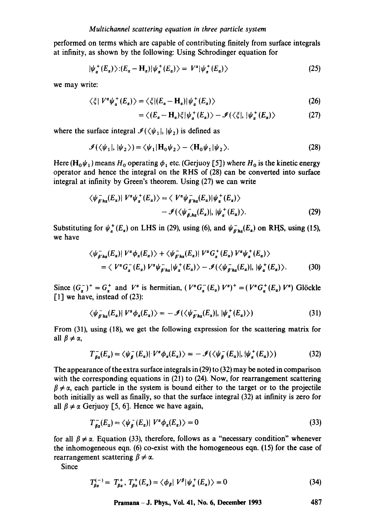performed on terms which are capable of contributing finitely from surface integrals at infinity, as shown by the following: Using Schrodinger equation for

$$
|\psi_{\alpha}^{+}(E_{\alpha})\rangle: (E_{\alpha}-H_{\alpha})|\psi_{\alpha}^{+}(E_{\alpha})\rangle = V^{\alpha}|\psi_{\alpha}^{+}(E_{\alpha})\rangle \qquad (25)
$$

we may write:

$$
\langle \xi | V^{\alpha} \psi_{\alpha}^{+}(E_{a}) \rangle = \langle \xi | (E_{\alpha} - \mathbf{H}_{\alpha}) | \psi_{\alpha}^{+}(E_{a}) \rangle \tag{26}
$$

$$
= \langle (E_a - \mathbf{H}_a) \xi | \psi_a^+ (E_a) \rangle - \mathcal{I}(\langle \xi |, | \psi_a^+ (E_a) \rangle) \tag{27}
$$

where the surface integral  $\mathcal{I}(\langle \psi_1 |, | \psi_2 \rangle)$  is defined as

$$
\mathcal{I}(\langle \psi_1 |, | \psi_2 \rangle) = \langle \psi_1 | \mathbf{H}_0 \psi_2 \rangle - \langle \mathbf{H}_0 \psi_1 | \psi_2 \rangle. \tag{28}
$$

Here ( $\mathbf{H}_0\psi_1$ ) means  $H_0$  operating  $\phi_1$  etc. (Gerjuoy [5]) where  $H_0$  is the kinetic energy operator and hence the integral on the RHS of (28) can be converted into surface integral at infinity by Green's theorem. Using (27) we can write

$$
\langle \psi_{\beta' h a}(E_a) | V^a \psi_a^+(E_a) \rangle = \langle V^a \psi_{\beta' h a}(E_a) | \psi_a^+(E_a) \rangle - \mathcal{I}(\langle \psi_{\beta, h a}(E_a) |, | \psi_a^+(E_a) \rangle.
$$
 (29)

Substituting for  $\psi_a^+(E_a)$  on LHS in (29), using (6), and  $\psi_{B',ha}^-(E_a)$  on RHS, using (15), we have

$$
\langle \psi_{\beta'ha}(E_{\alpha}) | V^{\alpha} \phi_{\alpha}(E_{\alpha}) \rangle + \langle \psi_{\beta'ha}(E_{\alpha}) | V^{\alpha} G_{\alpha}^{+}(E_{\alpha}) V^{\alpha} \psi_{\alpha}^{+}(E_{\alpha}) \rangle
$$
  
=  $\langle V^{\alpha} G_{\alpha}^{-}(E_{\alpha}) V^{\alpha} \psi_{\beta'ha}^{-} | \psi_{\alpha}^{+}(E_{\alpha}) \rangle - \mathcal{I}(\langle \psi_{\beta'ha}^{-}(E_{\alpha})|, |\psi_{\alpha}^{+}(E_{\alpha}) \rangle.$  (30)

Since  $(G_{\alpha}^-)^+ = G_{\alpha}^+$  and  $V^{\alpha}$  is hermitian,  $(V^{\alpha}G_{\alpha}^-(E_{\alpha})V^{\alpha})^+ = (V^{\alpha}G_{\alpha}^+(E_{\alpha})V^{\alpha})$  Glöckle [1] we have, instead of (23):

$$
\langle \psi_{\beta'ha}^{-}(E_a) | V^a \phi_a(E_a) \rangle = -\mathcal{I}(\langle \psi_{\beta'ha}^{-}(E_a) |, | \psi_a^{+}(E_a) \rangle)
$$
\n(31)

From (31), using (18), we get the following expression for the scattering matrix for all  $\beta \neq \alpha$ ,

$$
T_{\beta\alpha}^{-}(E_{\alpha}) = \langle \psi_{\beta}^{-}(E_{\alpha})| V^{\alpha}\phi_{\alpha}(E_{\alpha}) \rangle = -\mathcal{I}(\langle \psi_{\beta}^{-}(E_{\alpha})|, |\psi_{\alpha}^{+}(E_{\alpha}) \rangle)
$$
(32)

The appearance of the extra surface integrals in (29) to (32) may be noted in comparison with the corresponding equations in (21) to (24). Now, for rearrangement scattering  $\beta \neq \alpha$ , each particle in the system is bound either to the target or to the projectile both initially as well as finally, so that the surface integral (32) at infinity is zero for all  $\beta \neq \alpha$  Gerjuoy [5, 6]. Hence we have again,

$$
T_{g_{\alpha}}^{-}(E_{\alpha}) = \langle \psi_{g}^{-}(E_{\alpha}) | V^{\alpha} \phi_{\alpha}(E_{\alpha}) \rangle = 0
$$
\n(33)

for all  $\beta \neq \alpha$ . Equation (33), therefore, follows as a "necessary condition" whenever the inhomogeneous eqn. (6) co-exist with the homogeneous eqn. (15) for the ease of rearrangement scattering  $\beta \neq \alpha$ .

Since

$$
T_{\beta\alpha}^{(-)} = T_{\beta\alpha}^+, T_{\beta\alpha}^+(E_\alpha) = \langle \phi_\beta | V^\beta | \psi_\alpha^+(E_\alpha) \rangle = 0 \tag{34}
$$

**Pramana - J. Phys., Vol. 41, No. 6, December 1993 487**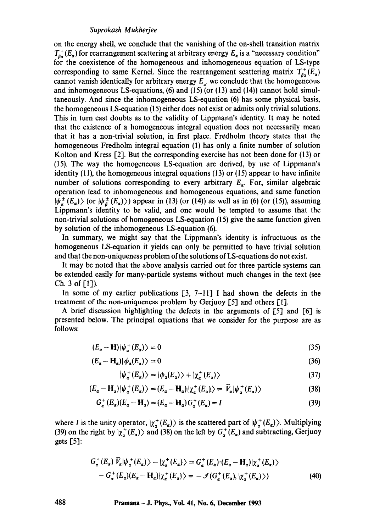#### *Suprokash Mukherjee*

on the energy shell, we conclude that the vanishing of the on-shell transition matrix  $T_{\beta\alpha}^+(E_\alpha)$  for rearrangement scattering at arbitrary energy  $E_\alpha$  is a "necessary condition" for the coexistence of the homogeneous and inhomogeneous equation of LS-type corresponding to same Kernel. Since the rearrangement scattering matrix  $T_{\beta\alpha}^{+}(E_{\alpha})$ cannot vanish identically for arbitrary energy  $E_{\alpha}$ , we conclude that the homogeneous and inhomogeneous LS-equations,  $(6)$  and  $(15)$  (or  $(13)$  and  $(14)$ ) cannot hold simultaneously. And since the inhomogeneous LS-equation (6) has some physical basis, the homogeneous LS-equation (15) either does not exist or admits only trivial solutions. This in turn cast doubts as to the validity of Lippmann's identity. It may be noted that the existence of a homogeneous integral equation does not necessarily mean that it has a non-trivial solution, in first place. Fredholm theory states that the homogeneous Fredholm integral equation (1) has only a finite number of solution Kolton and Kress [2]. But the corresponding exercise has not been done for (13) or (15). The way the homogeneous LS-equation are derived, by use of Lippmann's identity  $(11)$ , the homogeneous integral equations  $(13)$  or  $(15)$  appear to have infinite number of solutions corresponding to every arbitrary  $E_n$ . For, similar algebraic operation lead to inhomogeneous and homogeneous equations, and same function  $|\psi_{\alpha}^{\pm}(E_{\alpha})\rangle$  (or  $|\psi_{\beta}^{\pm}(E_{\alpha})\rangle$ ) appear in (13) (or (14)) as well as in (6) (or (15)), assuming Lippmann's identity to be valid, and one would be tempted to assume that the non-trivial solutions of homogeneous LS-equation (15) give the same function given by solution of the inhomogeneous LS-equation (6).

In summary, we might say that the Lippmann's identity is infructuous as the homogeneous LS-equation it yields can only be permitted to have trivial solution and that the non-uniqueness problem of the solutions of LS-equations do not exist.

It may be noted that the above analysis carried out for three particle systems can be extended easily for many-particle systems without much changes in the text (see Ch. 3 of  $[1]$ ).

In some of my earlier publications  $[3, 7-11]$  I had shown the defects in the treatment of the non-uniqueness problem by Gerjuoy [5] and others [1].

A brief discussion highlighting the defects in the arguments of  $[5]$  and  $[6]$  is presented below. The principal equations that we consider for the purpose are as follows:

$$
(E_{\alpha} - \mathbf{H}) |\psi_{\alpha}^{+}(E_{\alpha})\rangle = 0 \tag{35}
$$

$$
(E_{\alpha} - \mathbf{H}_{\alpha}) |\phi_{\alpha}(E_{\alpha})\rangle = 0 \tag{36}
$$

$$
|\psi_{\alpha}^{+}(E_{\alpha})\rangle = |\phi_{\alpha}(E_{\alpha})\rangle + |\chi_{\alpha}^{+}(E_{\alpha})\rangle
$$
\n(37)

$$
(E_{\alpha} - \mathbf{H}_{\alpha}) |\psi_{\alpha}^{+}(E_{\alpha})\rangle = (E_{\alpha} - \mathbf{H}_{\alpha}) |\chi_{\alpha}^{+}(E_{\alpha})\rangle = \bar{V}_{\alpha} |\psi_{\alpha}^{+}(E_{\alpha})\rangle
$$
\n(38)

$$
G_{\alpha}^{+}(E_{\alpha})(E_{\alpha}-H_{\alpha})=(E_{\alpha}-H_{\alpha})G_{\alpha}^{+}(E_{\alpha})=I
$$
\n(39)

where I is the unity operator,  $|\chi_{\alpha}^{+}(E_{\alpha})\rangle$  is the scattered part of  $|\psi_{\alpha}^{+}(E_{\alpha})\rangle$ . Multiplying (39) on the right by  $|\chi^+_g(E_a)\rangle$  and (38) on the left by  $G^+_g(E_a)$  and subtracting, Gerjuoy gets [5]:

$$
G_{\alpha}^{+}(E_{\alpha}) \bar{V}_{\alpha}|\psi_{\alpha}^{+}(E_{\alpha})\rangle - |\chi_{\alpha}^{+}(E_{\alpha})\rangle = G_{\alpha}^{+}(E_{\alpha}) \cdot (E_{\alpha} - \mathbf{H}_{\alpha})|\chi_{\alpha}^{+}(E_{\alpha})\rangle
$$
  
- 
$$
G_{\alpha}^{+}(E_{\alpha})(E_{\alpha} - \mathbf{H}_{\alpha})|\chi_{\alpha}^{+}(E_{\alpha})\rangle = -\mathcal{I}(G_{\alpha}^{+}(E_{\alpha}), |\chi_{\alpha}^{+}(E_{\alpha})\rangle)
$$
(40)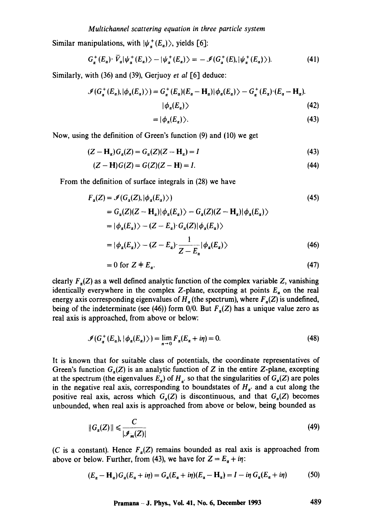Similar manipulations, with  $|\psi_{\alpha}^{+}(E_{\alpha})\rangle$ , yields [6]:

$$
G_{\alpha}^{+}(E_{\alpha})\cdot\overline{V}_{\alpha}|\psi_{\alpha}^{+}(E_{\alpha})\rangle-|\psi_{\alpha}^{+}(E_{\alpha})\rangle=-\mathcal{I}(G_{\alpha}^{+}(E),|\psi_{\alpha}^{+}(E_{\alpha})\rangle). \tag{41}
$$

Similarly, with (36) and (39), Gerjuoy *et al* [6] deduce:

$$
\mathcal{J}(G_{\alpha}^+(E_{\alpha}),|\phi_{\alpha}(E_{\alpha})\rangle) = G_{\alpha}^+(E_{\alpha})(E_{\alpha}-H_{\alpha})|\phi_{\alpha}(E_{\alpha})\rangle - G_{\alpha}^+(E_{\alpha})\cdot(E_{\alpha}-H_{\alpha}).
$$
\n
$$
|\phi_{\alpha}(E_{\alpha})\rangle
$$
\n(42)

$$
= |\phi_{\alpha}(E_{\alpha})\rangle. \tag{43}
$$

Now, using the definition of Green's function (9) and (10) we get

$$
(Z - \mathbf{H}_\alpha)G_\alpha(Z) = G_\alpha(Z)(Z - \mathbf{H}_\alpha) = I \tag{43}
$$

$$
(Z - H)G(Z) = G(Z)(Z - H) = I.
$$
\n(44)

From the definition of surface integrals in (28) we have

$$
F_{\alpha}(Z) = \mathcal{I}(G_{\alpha}(Z), |\phi_{\alpha}(E_{\alpha})\rangle)
$$
(45)  
=  $G_{\alpha}(Z)(Z - \mathbf{H}_{\alpha})|\phi_{\alpha}(E_{\alpha})\rangle - G_{\alpha}(Z)(Z - \mathbf{H}_{\alpha})|\phi_{\alpha}(E_{\alpha})\rangle$   
=  $|\phi_{\alpha}(E_{\alpha})\rangle - (Z - E_{\alpha}) \cdot G_{\alpha}(Z)|\phi_{\alpha}(E_{\alpha})\rangle$   
=  $|\phi_{\alpha}(E_{\alpha})\rangle - (Z - E_{\alpha}) \cdot \frac{1}{Z - E_{\alpha}}|\phi_{\alpha}(E_{\alpha})\rangle$ (46)

$$
= 0 \text{ for } Z \neq E_{\alpha}.\tag{47}
$$

clearly  $F<sub>g</sub>(Z)$  as a well defined analytic function of the complex variable Z, vanishing identically everywhere in the complex Z-plane, excepting at points  $E_a$  on the real energy axis corresponding eigenvalues of  $H<sub>\alpha</sub>$  (the spectrum), where  $F<sub>\alpha</sub>(Z)$  is undefined, being of the indeterminate (see (46)) form  $0/0$ . But  $F_a(Z)$  has a unique value zero as real axis is approached, from above or below:

$$
\mathcal{J}(G_{\alpha}^+(E_{\alpha}), |\phi_{\alpha}(E_{\alpha})\rangle) = \lim_{n \to 0} F_{\alpha}(E_{\alpha} + i\eta) = 0.
$$
 (48)

It is known that for suitable class of potentials, the coordinate representatives of Green's function  $G_{\ell}(Z)$  is an analytic function of Z in the entire Z-plane, excepting at the spectrum (the eigenvalues  $E_{\alpha}$ ) of  $H_{\alpha}$  so that the singularities of  $G_{\alpha}(Z)$  are poles in the negative real axis, corresponding to boundstates of  $H_{\alpha'}$  and a cut along the positive real axis, across which  $G_{\sigma}(Z)$  is discontinuous, and that  $G_{\sigma}(Z)$  becomes unbounded, when real axis is approached from above or below, being bounded as

$$
||G_{\alpha}(Z)|| \leqslant \frac{C}{|\mathcal{I}_m(Z)|} \tag{49}
$$

(C is a constant). Hence  $F_{\alpha}(Z)$  remains bounded as real axis is approached from above or below. Further, from (43), we have for  $Z = E_{\alpha} + i\eta$ :

$$
(E_{\alpha} - \mathbf{H}_{\alpha})G_{\alpha}(E_{\alpha} + i\eta) = G_{\alpha}(E_{\alpha} + i\eta)(E_{\alpha} - \mathbf{H}_{\alpha}) = I - i\eta \ G_{\alpha}(E_{\alpha} + i\eta) \tag{50}
$$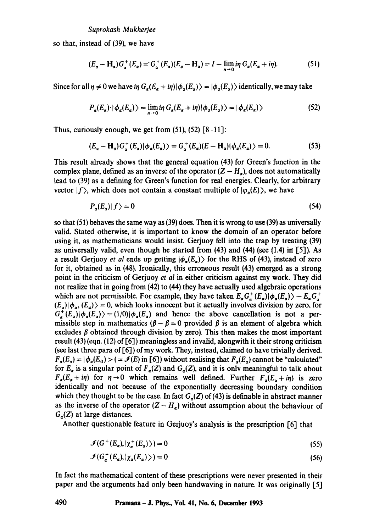so that, instead of (39), we have

$$
(E_{\alpha}-H_{\alpha})G_{\alpha}^+(E_{\alpha})=G_{\alpha}^+(E_{\alpha})(E_{\alpha}-H_{\alpha})=I-\lim_{n\to 0}i\eta\ G_{\alpha}(E_{\alpha}+i\eta). \hspace{1cm} (51)
$$

Since for all  $\eta \neq 0$  we have *in*  $G_a(E_a + i\eta) |\phi_a(E_a)\rangle = |\phi_a(E_a)\rangle$  identically, we may take

$$
P_{\alpha}(E_{\alpha}) \cdot |\phi_{\alpha}(E_{\alpha})\rangle = \lim_{n \to 0} i\eta \ G_{\alpha}(E_{\alpha} + i\eta) |\phi_{\alpha}(E_{\alpha})\rangle = |\phi_{\alpha}(E_{\alpha})\rangle \tag{52}
$$

Thus, curiously enough, we get from  $(51)$ ,  $(52)$   $[8-11]$ :

$$
(E_{\alpha} - \mathbf{H}_{\alpha})G_{\alpha}^{+}(E_{\alpha})|\phi_{\alpha}(E_{\alpha})\rangle = G_{\alpha}^{+}(E_{\alpha})(E - \mathbf{H}_{\alpha})|\phi_{\alpha}(E_{\alpha})\rangle = 0.
$$
 (53)

This result already shows that the general equation (43) for Green's function in the complex plane, defined as an inverse of the operator  $(Z - H<sub>a</sub>)$ , does not automatically lead to (39) as a defining for Green's function for real energies. Clearly, for arbitrary vector  $|f\rangle$ , which does not contain a constant multiple of  $|\varphi_{\alpha}(E)\rangle$ , we have

$$
P_a(E_a)|f\rangle = 0\tag{54}
$$

so that (51) behaves the same way as (39) does. Then it is wrong to use (39) as universally valid. Stated otherwise, it is important to know the domain of an operator before using it, as mathematicians would insist. Gerjuoy fell into the trap by treating (39) as universally valid, even though he started from (43) and (44) (see (1.4) in [5]). As a result Gerjuoy *et al* ends up getting  $|\phi_a(E_a)\rangle$  for the RHS of (43), instead of zero for it, obtained as in (48). Ironically, this erroneous result (43) emerged as a strong point in the criticism of Gerjuoy *et al* in either criticism against my work. They did not realize that in going from (42) to (44) they have actually used algebraic operations which are not permissible. For example, they have taken  $E_a G_a^+(E_a) \phi_a(E_a) - E_a G_a^+$  $(E_{\alpha})|\phi_{\alpha}, (E_{\alpha})\rangle = 0$ , which looks innocent but it actually involves division by zero, for  $G_a^+(E_a)|\phi_a(E_a)\rangle=(1/0)|\phi_a(E_a)|$  and hence the above cancellation is not a permissible step in mathematics ( $\beta - \beta = 0$  provided  $\beta$  is an element of algebra which excludes  $\beta$  obtained through division by zero). This then makes the most important result (43) (eqn. (12) of [6] ) meaningless and invalid, alongwith it their strong criticism (see last three para of [6]) of my work. They, instead, claimed to have trivially derived.  $F_a(E_a) = |\phi_a(E_0) \rangle$  (=  $\mathcal{I}(E)$  in [6]) without realising that  $F_a(E_a)$  cannot be "calculated" for  $E_{\alpha}$  is a singular point of  $F_{\alpha}(Z)$  and  $G_{\alpha}(Z)$ , and it is only meaningful to talk about  $F_a(E_a + i\eta)$  for  $\eta \rightarrow 0$  which remains well defined. Further  $F_a(E_a + i\eta)$  is zero identically and not because of the exponentially decreasing boundary condition which they thought to be the case. In fact  $G_a(Z)$  of (43) is definable in abstract manner as the inverse of the operator  $(Z - H_a)$  without assumption about the behaviour of  $G_{\alpha}(Z)$  at large distances.

Another questionable feature in Gerjuoy's analysis is the prescription [6] that

$$
\mathcal{I}(G^+(E_a),|\chi_a^+(E_a)\rangle) = 0\tag{55}
$$

$$
\mathcal{I}(G_{\alpha}^{+}(E_{\alpha}),|\chi_{\alpha}(E_{\alpha})\rangle)=0
$$
\n(56)

In fact the mathematical content of these prescriptions were never presented in their paper and the arguments had only been handwaving in nature. It was originally [5]